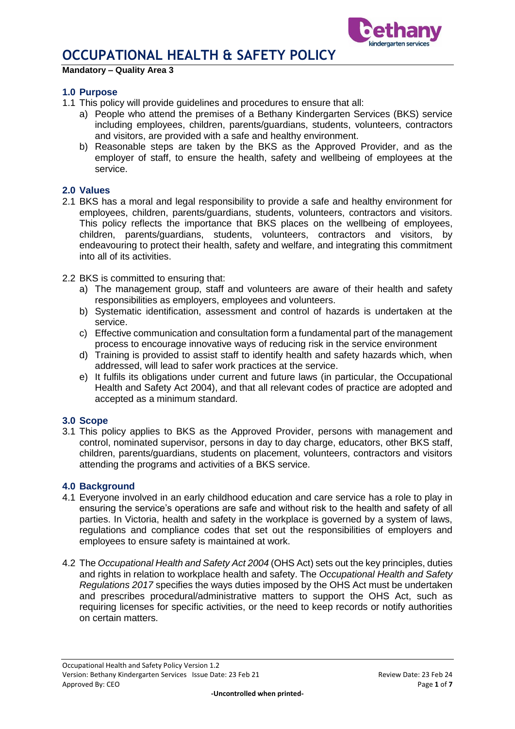



**Mandatory – Quality Area 3**

### **1.0 Purpose**

- 1.1 This policy will provide guidelines and procedures to ensure that all:
	- a) People who attend the premises of a Bethany Kindergarten Services (BKS) service including employees, children, parents/guardians, students, volunteers, contractors and visitors, are provided with a safe and healthy environment.
	- b) Reasonable steps are taken by the BKS as the Approved Provider, and as the employer of staff, to ensure the health, safety and wellbeing of employees at the service.

## **2.0 Values**

- 2.1 BKS has a moral and legal responsibility to provide a safe and healthy environment for employees, children, parents/guardians, students, volunteers, contractors and visitors. This policy reflects the importance that BKS places on the wellbeing of employees, children, parents/guardians, students, volunteers, contractors and visitors, by endeavouring to protect their health, safety and welfare, and integrating this commitment into all of its activities.
- 2.2 BKS is committed to ensuring that:
	- a) The management group, staff and volunteers are aware of their health and safety responsibilities as employers, employees and volunteers.
	- b) Systematic identification, assessment and control of hazards is undertaken at the service.
	- c) Effective communication and consultation form a fundamental part of the management process to encourage innovative ways of reducing risk in the service environment
	- d) Training is provided to assist staff to identify health and safety hazards which, when addressed, will lead to safer work practices at the service.
	- e) It fulfils its obligations under current and future laws (in particular, the Occupational Health and Safety Act 2004), and that all relevant codes of practice are adopted and accepted as a minimum standard.

#### **3.0 Scope**

3.1 This policy applies to BKS as the Approved Provider, persons with management and control, nominated supervisor, persons in day to day charge, educators, other BKS staff, children, parents/guardians, students on placement, volunteers, contractors and visitors attending the programs and activities of a BKS service.

#### **4.0 Background**

- 4.1 Everyone involved in an early childhood education and care service has a role to play in ensuring the service's operations are safe and without risk to the health and safety of all parties. In Victoria, health and safety in the workplace is governed by a system of laws, regulations and compliance codes that set out the responsibilities of employers and employees to ensure safety is maintained at work.
- 4.2 The *Occupational Health and Safety Act 2004* (OHS Act) sets out the key principles, duties and rights in relation to workplace health and safety. The *Occupational Health and Safety Regulations 2017* specifies the ways duties imposed by the OHS Act must be undertaken and prescribes procedural/administrative matters to support the OHS Act, such as requiring licenses for specific activities, or the need to keep records or notify authorities on certain matters.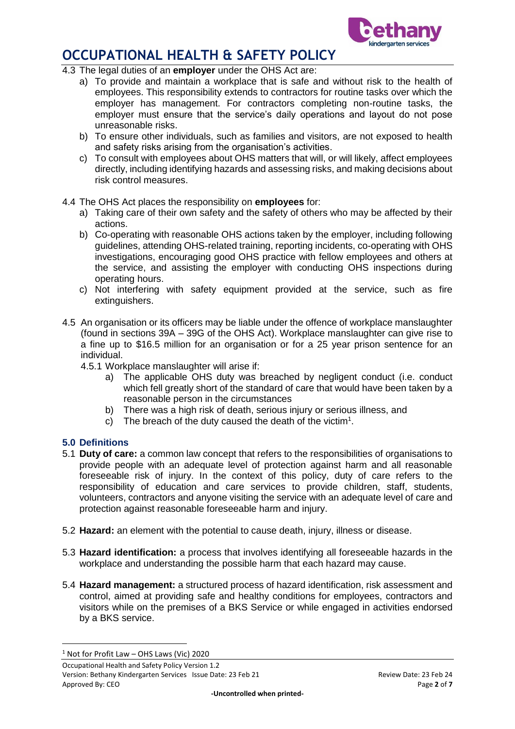

- 4.3 The legal duties of an **employer** under the OHS Act are:
	- a) To provide and maintain a workplace that is safe and without risk to the health of employees. This responsibility extends to contractors for routine tasks over which the employer has management. For contractors completing non-routine tasks, the employer must ensure that the service's daily operations and layout do not pose unreasonable risks.
	- b) To ensure other individuals, such as families and visitors, are not exposed to health and safety risks arising from the organisation's activities.
	- c) To consult with employees about OHS matters that will, or will likely, affect employees directly, including identifying hazards and assessing risks, and making decisions about risk control measures.
- 4.4 The OHS Act places the responsibility on **employees** for:
	- a) Taking care of their own safety and the safety of others who may be affected by their actions.
	- b) Co-operating with reasonable OHS actions taken by the employer, including following guidelines, attending OHS-related training, reporting incidents, co-operating with OHS investigations, encouraging good OHS practice with fellow employees and others at the service, and assisting the employer with conducting OHS inspections during operating hours.
	- c) Not interfering with safety equipment provided at the service, such as fire extinguishers.
- 4.5 An organisation or its officers may be liable under the offence of workplace manslaughter (found in sections 39A – 39G of the OHS Act). Workplace manslaughter can give rise to a fine up to \$16.5 million for an organisation or for a 25 year prison sentence for an individual.
	- 4.5.1 Workplace manslaughter will arise if:
		- a) The applicable OHS duty was breached by negligent conduct (i.e. conduct which fell greatly short of the standard of care that would have been taken by a reasonable person in the circumstances
		- b) There was a high risk of death, serious injury or serious illness, and
		- c) The breach of the duty caused the death of the victim<sup>1</sup>.

## **5.0 Definitions**

1

- 5.1 **Duty of care:** a common law concept that refers to the responsibilities of organisations to provide people with an adequate level of protection against harm and all reasonable foreseeable risk of injury. In the context of this policy, duty of care refers to the responsibility of education and care services to provide children, staff, students, volunteers, contractors and anyone visiting the service with an adequate level of care and protection against reasonable foreseeable harm and injury.
- 5.2 **Hazard:** an element with the potential to cause death, injury, illness or disease.
- 5.3 **Hazard identification:** a process that involves identifying all foreseeable hazards in the workplace and understanding the possible harm that each hazard may cause.
- 5.4 **Hazard management:** a structured process of hazard identification, risk assessment and control, aimed at providing safe and healthy conditions for employees, contractors and visitors while on the premises of a BKS Service or while engaged in activities endorsed by a BKS service.

 $1$  Not for Profit Law – OHS Laws (Vic) 2020

Occupational Health and Safety Policy Version 1.2 Version: Bethany Kindergarten Services Issue Date: 23 Feb 21 Review Date: 23 Feb 24 Approved By: CEO **Page 2** of **7**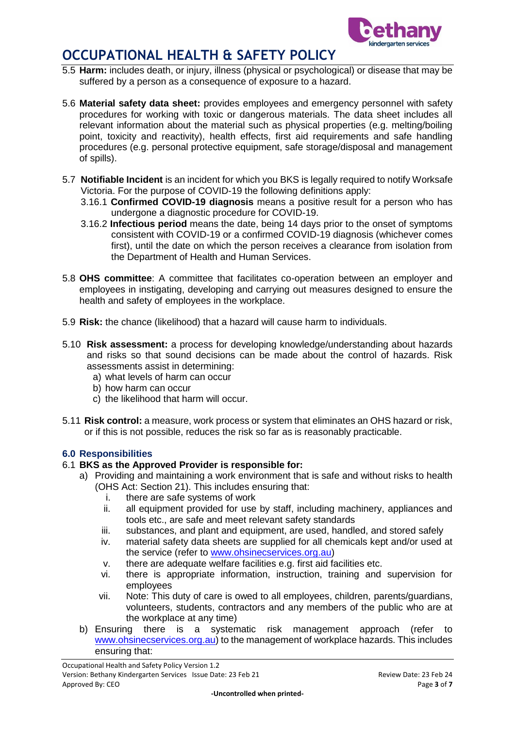

- 5.5 **Harm:** includes death, or injury, illness (physical or psychological) or disease that may be suffered by a person as a consequence of exposure to a hazard.
- 5.6 **Material safety data sheet:** provides employees and emergency personnel with safety procedures for working with toxic or dangerous materials. The data sheet includes all relevant information about the material such as physical properties (e.g. melting/boiling point, toxicity and reactivity), health effects, first aid requirements and safe handling procedures (e.g. personal protective equipment, safe storage/disposal and management of spills).
- 5.7 **Notifiable Incident** is an incident for which you BKS is legally required to notify Worksafe Victoria. For the purpose of COVID-19 the following definitions apply:
	- 3.16.1 **Confirmed COVID-19 diagnosis** means a positive result for a person who has undergone a diagnostic procedure for COVID-19.
	- 3.16.2 **Infectious period** means the date, being 14 days prior to the onset of symptoms consistent with COVID-19 or a confirmed COVID-19 diagnosis (whichever comes first), until the date on which the person receives a clearance from isolation from the Department of Health and Human Services.
- 5.8 **OHS committee**: A committee that facilitates co-operation between an employer and employees in instigating, developing and carrying out measures designed to ensure the health and safety of employees in the workplace.
- 5.9 **Risk:** the chance (likelihood) that a hazard will cause harm to individuals.
- 5.10 **Risk assessment:** a process for developing knowledge/understanding about hazards and risks so that sound decisions can be made about the control of hazards. Risk assessments assist in determining:
	- a) what levels of harm can occur
	- b) how harm can occur
	- c) the likelihood that harm will occur.
- 5.11 **Risk control:** a measure, work process or system that eliminates an OHS hazard or risk, or if this is not possible, reduces the risk so far as is reasonably practicable.

## **6.0 Responsibilities**

- 6.1 **BKS as the Approved Provider is responsible for:**
	- a) Providing and maintaining a work environment that is safe and without risks to health (OHS Act: Section 21). This includes ensuring that:
		- i. there are safe systems of work
		- ii. all equipment provided for use by staff, including machinery, appliances and tools etc., are safe and meet relevant safety standards
		- iii. substances, and plant and equipment, are used, handled, and stored safely
		- iv. material safety data sheets are supplied for all chemicals kept and/or used at the service (refer to [www.ohsinecservices.org.au\)](http://www.ohsinecservices.org.au/)
		- v. there are adequate welfare facilities e.g. first aid facilities etc.
		- vi. there is appropriate information, instruction, training and supervision for employees
		- vii. Note: This duty of care is owed to all employees, children, parents/guardians, volunteers, students, contractors and any members of the public who are at the workplace at any time)
	- b) Ensuring there is a systematic risk management approach (refer to [www.ohsinecservices.org.au\)](http://www.ohsinecservices.org.au/) to the management of workplace hazards. This includes ensuring that: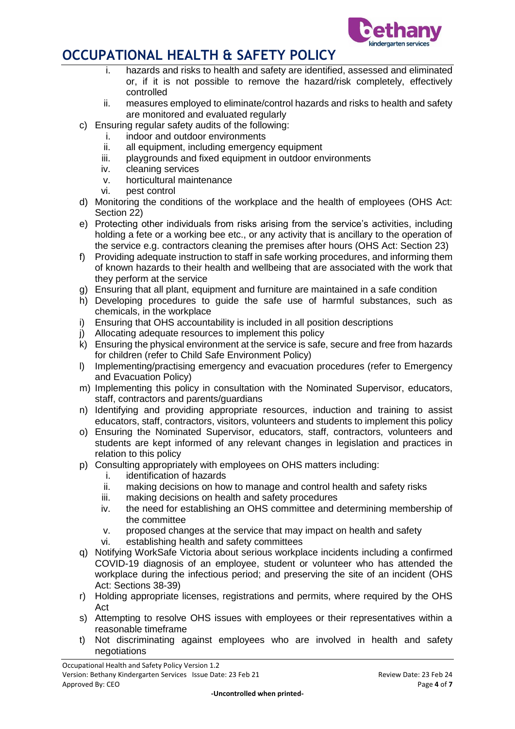

- i. hazards and risks to health and safety are identified, assessed and eliminated or, if it is not possible to remove the hazard/risk completely, effectively controlled
- ii. measures employed to eliminate/control hazards and risks to health and safety are monitored and evaluated regularly
- c) Ensuring regular safety audits of the following:
	- i. indoor and outdoor environments
	- ii. all equipment, including emergency equipment
	- iii. playgrounds and fixed equipment in outdoor environments
	- iv. cleaning services
	- v. horticultural maintenance
	- vi. pest control
- d) Monitoring the conditions of the workplace and the health of employees (OHS Act: Section 22)
- e) Protecting other individuals from risks arising from the service's activities, including holding a fete or a working bee etc., or any activity that is ancillary to the operation of the service e.g. contractors cleaning the premises after hours (OHS Act: Section 23)
- f) Providing adequate instruction to staff in safe working procedures, and informing them of known hazards to their health and wellbeing that are associated with the work that they perform at the service
- g) Ensuring that all plant, equipment and furniture are maintained in a safe condition
- h) Developing procedures to guide the safe use of harmful substances, such as chemicals, in the workplace
- i) Ensuring that OHS accountability is included in all position descriptions
- j) Allocating adequate resources to implement this policy
- k) Ensuring the physical environment at the service is safe, secure and free from hazards for children (refer to Child Safe Environment Policy)
- l) Implementing/practising emergency and evacuation procedures (refer to Emergency and Evacuation Policy)
- m) Implementing this policy in consultation with the Nominated Supervisor, educators, staff, contractors and parents/guardians
- n) Identifying and providing appropriate resources, induction and training to assist educators, staff, contractors, visitors, volunteers and students to implement this policy
- o) Ensuring the Nominated Supervisor, educators, staff, contractors, volunteers and students are kept informed of any relevant changes in legislation and practices in relation to this policy
- p) Consulting appropriately with employees on OHS matters including:
	- i. identification of hazards
	- ii. making decisions on how to manage and control health and safety risks
	- iii. making decisions on health and safety procedures
	- iv. the need for establishing an OHS committee and determining membership of the committee
	- v. proposed changes at the service that may impact on health and safety
	- vi. establishing health and safety committees
- q) Notifying WorkSafe Victoria about serious workplace incidents including a confirmed COVID-19 diagnosis of an employee, student or volunteer who has attended the workplace during the infectious period; and preserving the site of an incident (OHS Act: Sections 38-39)
- r) Holding appropriate licenses, registrations and permits, where required by the OHS Act
- s) Attempting to resolve OHS issues with employees or their representatives within a reasonable timeframe
- t) Not discriminating against employees who are involved in health and safety negotiations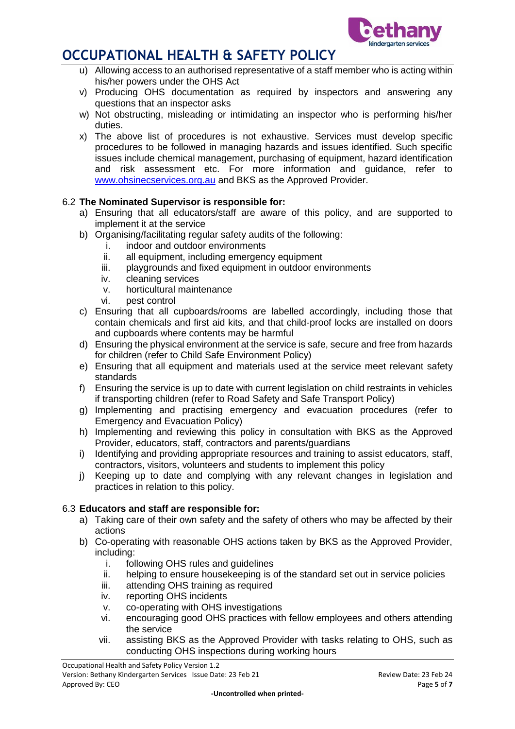

- u) Allowing access to an authorised representative of a staff member who is acting within his/her powers under the OHS Act
- v) Producing OHS documentation as required by inspectors and answering any questions that an inspector asks
- w) Not obstructing, misleading or intimidating an inspector who is performing his/her duties.
- x) The above list of procedures is not exhaustive. Services must develop specific procedures to be followed in managing hazards and issues identified. Such specific issues include chemical management, purchasing of equipment, hazard identification and risk assessment etc. For more information and guidance, refer to [www.ohsinecservices.org.au](http://www.ohsinecservices.org.au/) and BKS as the Approved Provider.

## 6.2 **The Nominated Supervisor is responsible for:**

- a) Ensuring that all educators/staff are aware of this policy, and are supported to implement it at the service
- b) Organising/facilitating regular safety audits of the following:
	- i. indoor and outdoor environments
	- ii. all equipment, including emergency equipment
	- iii. playgrounds and fixed equipment in outdoor environments
	- iv. cleaning services
	- v. horticultural maintenance
	- vi. pest control
- c) Ensuring that all cupboards/rooms are labelled accordingly, including those that contain chemicals and first aid kits, and that child-proof locks are installed on doors and cupboards where contents may be harmful
- d) Ensuring the physical environment at the service is safe, secure and free from hazards for children (refer to Child Safe Environment Policy)
- e) Ensuring that all equipment and materials used at the service meet relevant safety standards
- f) Ensuring the service is up to date with current legislation on child restraints in vehicles if transporting children (refer to Road Safety and Safe Transport Policy)
- g) Implementing and practising emergency and evacuation procedures (refer to Emergency and Evacuation Policy)
- h) Implementing and reviewing this policy in consultation with BKS as the Approved Provider, educators, staff, contractors and parents/guardians
- i) Identifying and providing appropriate resources and training to assist educators, staff, contractors, visitors, volunteers and students to implement this policy
- j) Keeping up to date and complying with any relevant changes in legislation and practices in relation to this policy.

## 6.3 **Educators and staff are responsible for:**

- a) Taking care of their own safety and the safety of others who may be affected by their actions
- b) Co-operating with reasonable OHS actions taken by BKS as the Approved Provider, including:
	- i. following OHS rules and guidelines
	- ii. helping to ensure housekeeping is of the standard set out in service policies
	- iii. attending OHS training as required
	- iv. reporting OHS incidents
	- v. co-operating with OHS investigations
	- vi. encouraging good OHS practices with fellow employees and others attending the service
	- vii. assisting BKS as the Approved Provider with tasks relating to OHS, such as conducting OHS inspections during working hours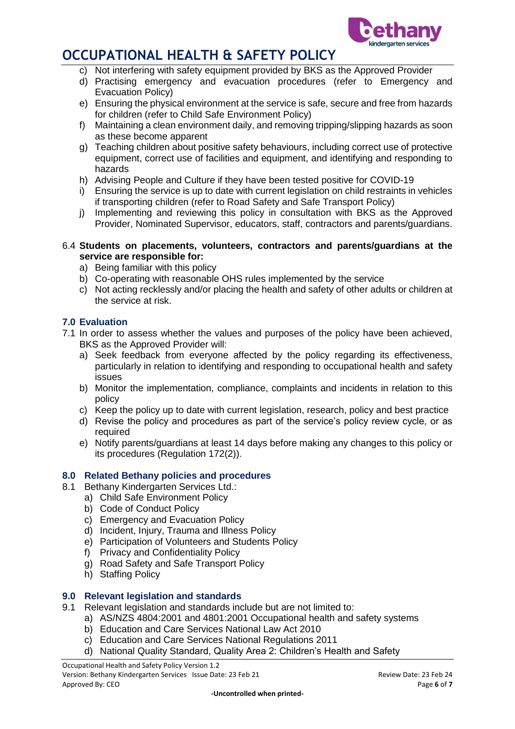

- c) Not interfering with safety equipment provided by BKS as the Approved Provider
- d) Practising emergency and evacuation procedures (refer to Emergency and Evacuation Policy)
- e) Ensuring the physical environment at the service is safe, secure and free from hazards for children (refer to Child Safe Environment Policy)
- f) Maintaining a clean environment daily, and removing tripping/slipping hazards as soon as these become apparent
- g) Teaching children about positive safety behaviours, including correct use of protective equipment, correct use of facilities and equipment, and identifying and responding to hazards
- h) Advising People and Culture if they have been tested positive for COVID-19
- i) Ensuring the service is up to date with current legislation on child restraints in vehicles if transporting children (refer to Road Safety and Safe Transport Policy)
- j) Implementing and reviewing this policy in consultation with BKS as the Approved Provider, Nominated Supervisor, educators, staff, contractors and parents/guardians.

### 6.4 **Students on placements, volunteers, contractors and parents/guardians at the service are responsible for:**

- a) Being familiar with this policy
- b) Co-operating with reasonable OHS rules implemented by the service
- c) Not acting recklessly and/or placing the health and safety of other adults or children at the service at risk.

## **7.0 Evaluation**

- 7.1 In order to assess whether the values and purposes of the policy have been achieved, BKS as the Approved Provider will:
	- a) Seek feedback from everyone affected by the policy regarding its effectiveness, particularly in relation to identifying and responding to occupational health and safety issues
	- b) Monitor the implementation, compliance, complaints and incidents in relation to this policy
	- c) Keep the policy up to date with current legislation, research, policy and best practice
	- d) Revise the policy and procedures as part of the service's policy review cycle, or as required
	- e) Notify parents/guardians at least 14 days before making any changes to this policy or its procedures (Regulation 172(2)).

## **8.0 Related Bethany policies and procedures**

- 8.1 Bethany Kindergarten Services Ltd.:
	- a) Child Safe Environment Policy
		- b) Code of Conduct Policy
		- c) Emergency and Evacuation Policy
		- d) Incident, Injury, Trauma and Illness Policy
		- e) Participation of Volunteers and Students Policy
		- f) Privacy and Confidentiality Policy
		- g) Road Safety and Safe Transport Policy
		- h) Staffing Policy

## **9.0 Relevant legislation and standards**

- 9.1 Relevant legislation and standards include but are not limited to:
	- a) AS/NZS 4804:2001 and 4801:2001 Occupational health and safety systems
		- b) Education and Care Services National Law Act 2010
		- c) Education and Care Services National Regulations 2011
		- d) National Quality Standard, Quality Area 2: Children's Health and Safety

Occupational Health and Safety Policy Version 1.2 Version: Bethany Kindergarten Services Issue Date: 23 Feb 21 Review Date: 23 Feb 24 Approved By: CEO **Page 6** of **7** and **2** of **7** and **2** of **7** and **2** of **7** and **2** of **7** and **2** of **7** and **2** of **7** and **2** of **7** and **2** of **7** and **2** of **7** and **2** of **7** and **2** of **7** and **2** of **7** and **2** o